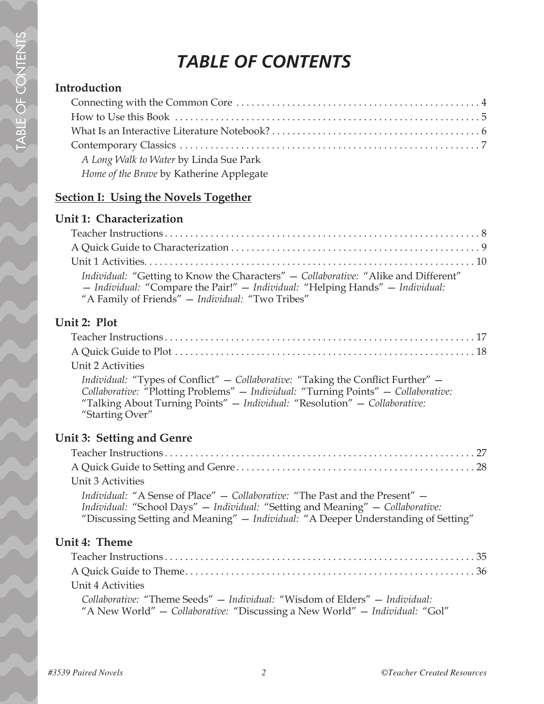# *TABLE OF CONTENTS*

#### **Introduction**

| A Long Walk to Water by Linda Sue Park   |
|------------------------------------------|
| Home of the Brave by Katherine Applegate |

#### **Section I: Using the Novels Together**

### **Unit 1: Characterization**

| Individual: "Getting to Know the Characters" - Collaborative: "Alike and Different"<br>- Individual: "Compare the Pair!" - Individual: "Helping Hands" - Individual:<br>"A Family of Friends" - Individual: "Two Tribes" |  |
|--------------------------------------------------------------------------------------------------------------------------------------------------------------------------------------------------------------------------|--|

#### **Unit 2: Plot**

| Unit 2 Activities                                                                              |  |
|------------------------------------------------------------------------------------------------|--|
| <i>Individual:</i> "Types of Conflict" – <i>Collaborative:</i> "Taking the Conflict Further" – |  |
| Collaborative: "Plotting Problems" - Individual: "Turning Points" - Collaborative:             |  |
| "Talking About Turning Points" - Individual: "Resolution" - Collaborative:                     |  |
| "Starting Over"                                                                                |  |

### **Unit 3: Setting and Genre**

| Unit 3 Activities                                                                                                                                                                                                                                                  |
|--------------------------------------------------------------------------------------------------------------------------------------------------------------------------------------------------------------------------------------------------------------------|
| <i>Individual:</i> "A Sense of Place" – <i>Collaborative:</i> "The Past and the Present" –<br>Individual: "School Days" - Individual: "Setting and Meaning" - Collaborative:<br>"Discussing Setting and Meaning" - Individual: "A Deeper Understanding of Setting" |

#### **Unit 4: Theme**

| Unit 4 Activities                                                                                                                                          |  |
|------------------------------------------------------------------------------------------------------------------------------------------------------------|--|
| Collaborative: "Theme Seeds" – Individual: "Wisdom of Elders" – Individual:<br>"A New World" - Collaborative: "Discussing a New World" - Individual: "Gol" |  |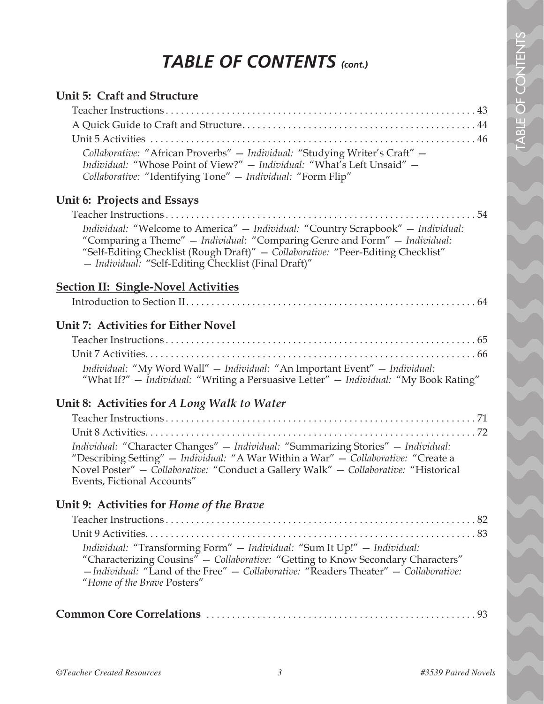# *TABLE OF CONTENTS (cont.)*

| Unit 5: Craft and Structure<br>Collaborative: "African Proverbs" - Individual: "Studying Writer's Craft" -                                                                                                                                                                                                 |
|------------------------------------------------------------------------------------------------------------------------------------------------------------------------------------------------------------------------------------------------------------------------------------------------------------|
| Individual: "Whose Point of View?" - Individual: "What's Left Unsaid" -<br>Collaborative: "Identifying Tone" - Individual: "Form Flip"                                                                                                                                                                     |
| Unit 6: Projects and Essays                                                                                                                                                                                                                                                                                |
| Individual: "Welcome to America" - Individual: "Country Scrapbook" - Individual:<br>"Comparing a Theme" - Individual: "Comparing Genre and Form" - Individual:<br>"Self-Editing Checklist (Rough Draft)" - Collaborative: "Peer-Editing Checklist"<br>- Individual: "Self-Editing Checklist (Final Draft)" |
| <b>Section II: Single-Novel Activities</b>                                                                                                                                                                                                                                                                 |
|                                                                                                                                                                                                                                                                                                            |
| Unit 7: Activities for Either Novel                                                                                                                                                                                                                                                                        |
|                                                                                                                                                                                                                                                                                                            |
| Individual: "My Word Wall" - Individual: "An Important Event" - Individual:<br>"What If?" - Individual: "Writing a Persuasive Letter" - Individual: "My Book Rating"                                                                                                                                       |
| Unit 8: Activities for A Long Walk to Water                                                                                                                                                                                                                                                                |
|                                                                                                                                                                                                                                                                                                            |
|                                                                                                                                                                                                                                                                                                            |
| Individual: "Character Changes" - Individual: "Summarizing Stories" - Individual:<br>"Describing Setting" - Individual: "A War Within a War" - Collaborative: "Create a<br>Novel Poster" - Collaborative: "Conduct a Gallery Walk" - Collaborative: "Historical<br>Events, Fictional Accounts"             |
| Unit 9: Activities for Home of the Brave                                                                                                                                                                                                                                                                   |
|                                                                                                                                                                                                                                                                                                            |
|                                                                                                                                                                                                                                                                                                            |
| Individual: "Transforming Form" - Individual: "Sum It Up!" - Individual:<br>"Characterizing Cousins" - Collaborative: "Getting to Know Secondary Characters"<br>$-$ Individual: "Land of the Free" $-$ Collaborative: "Readers Theater" $-$ Collaborative:<br>"Home of the Brave Posters"                  |
|                                                                                                                                                                                                                                                                                                            |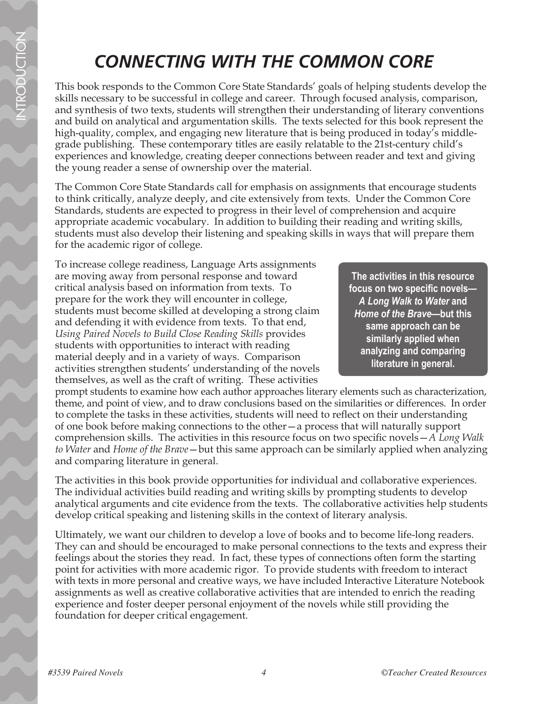# *CONNECTING WITH THE COMMON CORE*

This book responds to the Common Core State Standards' goals of helping students develop the skills necessary to be successful in college and career. Through focused analysis, comparison, and synthesis of two texts, students will strengthen their understanding of literary conventions and build on analytical and argumentation skills. The texts selected for this book represent the high-quality, complex, and engaging new literature that is being produced in today's middlegrade publishing. These contemporary titles are easily relatable to the 21st-century child's experiences and knowledge, creating deeper connections between reader and text and giving the young reader a sense of ownership over the material.

The Common Core State Standards call for emphasis on assignments that encourage students to think critically, analyze deeply, and cite extensively from texts. Under the Common Core Standards, students are expected to progress in their level of comprehension and acquire appropriate academic vocabulary. In addition to building their reading and writing skills, students must also develop their listening and speaking skills in ways that will prepare them for the academic rigor of college.

To increase college readiness, Language Arts assignments are moving away from personal response and toward critical analysis based on information from texts. To prepare for the work they will encounter in college, students must become skilled at developing a strong claim and defending it with evidence from texts. To that end, *Using Paired Novels to Build Close Reading Skills* provides students with opportunities to interact with reading material deeply and in a variety of ways. Comparison activities strengthen students' understanding of the novels themselves, as well as the craft of writing. These activities

**The activities in this resource focus on two specific novels—** *A Long Walk to Water* **and**  *Home of the Brave***—but this same approach can be similarly applied when analyzing and comparing literature in general.**

prompt students to examine how each author approaches literary elements such as characterization, theme, and point of view, and to draw conclusions based on the similarities or differences. In order to complete the tasks in these activities, students will need to reflect on their understanding of one book before making connections to the other—a process that will naturally support comprehension skills. The activities in this resource focus on two specific novels—*A Long Walk to Water* and *Home of the Brave*—but this same approach can be similarly applied when analyzing and comparing literature in general.

The activities in this book provide opportunities for individual and collaborative experiences. The individual activities build reading and writing skills by prompting students to develop analytical arguments and cite evidence from the texts. The collaborative activities help students develop critical speaking and listening skills in the context of literary analysis.

Ultimately, we want our children to develop a love of books and to become life-long readers. They can and should be encouraged to make personal connections to the texts and express their feelings about the stories they read. In fact, these types of connections often form the starting point for activities with more academic rigor. To provide students with freedom to interact with texts in more personal and creative ways, we have included Interactive Literature Notebook assignments as well as creative collaborative activities that are intended to enrich the reading experience and foster deeper personal enjoyment of the novels while still providing the foundation for deeper critical engagement.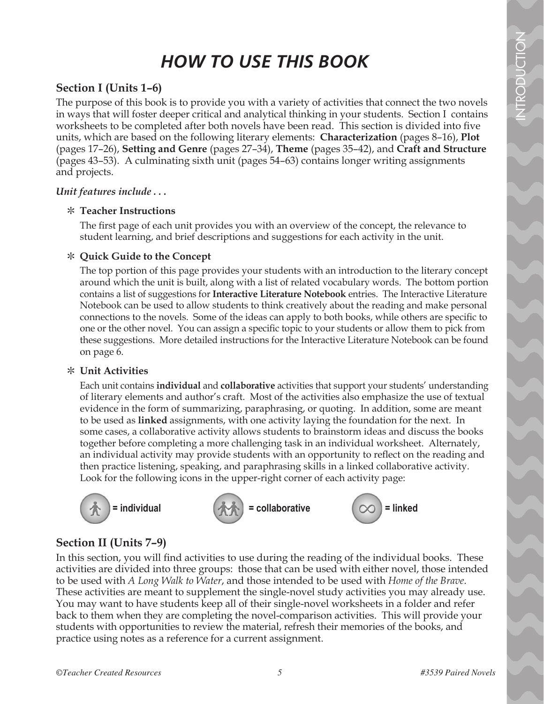### *HOW TO USE THIS BOOK*

#### **Section I (Units 1–6)**

The purpose of this book is to provide you with a variety of activities that connect the two novels in ways that will foster deeper critical and analytical thinking in your students. Section I contains worksheets to be completed after both novels have been read. This section is divided into five units, which are based on the following literary elements: **Characterization** (pages 8–16), **Plot** (pages 17–26), **Setting and Genre** (pages 27–34), **Theme** (pages 35–42), and **Craft and Structure** (pages 43–53). A culminating sixth unit (pages 54–63) contains longer writing assignments and projects.

#### *Unit features include . . .*

#### \ **Teacher Instructions**

The first page of each unit provides you with an overview of the concept, the relevance to student learning, and brief descriptions and suggestions for each activity in the unit.

#### \ **Quick Guide to the Concept**

The top portion of this page provides your students with an introduction to the literary concept around which the unit is built, along with a list of related vocabulary words. The bottom portion contains a list of suggestions for **Interactive Literature Notebook** entries. The Interactive Literature Notebook can be used to allow students to think creatively about the reading and make personal connections to the novels. Some of the ideas can apply to both books, while others are specific to one or the other novel. You can assign a specific topic to your students or allow them to pick from these suggestions. More detailed instructions for the Interactive Literature Notebook can be found on page 6.

#### \ **Unit Activities**

Each unit contains **individual** and **collaborative** activities that support your students' understanding of literary elements and author's craft. Most of the activities also emphasize the use of textual evidence in the form of summarizing, paraphrasing, or quoting. In addition, some are meant to be used as **linked** assignments, with one activity laying the foundation for the next. In some cases, a collaborative activity allows students to brainstorm ideas and discuss the books together before completing a more challenging task in an individual worksheet. Alternately, an individual activity may provide students with an opportunity to reflect on the reading and then practice listening, speaking, and paraphrasing skills in a linked collaborative activity. Look for the following icons in the upper-right corner of each activity page:



#### **Section II (Units 7–9)**

In this section, you will find activities to use during the reading of the individual books. These activities are divided into three groups: those that can be used with either novel, those intended to be used with *A Long Walk to Water*, and those intended to be used with *Home of the Brave*. These activities are meant to supplement the single-novel study activities you may already use. You may want to have students keep all of their single-novel worksheets in a folder and refer back to them when they are completing the novel-comparison activities. This will provide your students with opportunities to review the material, refresh their memories of the books, and practice using notes as a reference for a current assignment.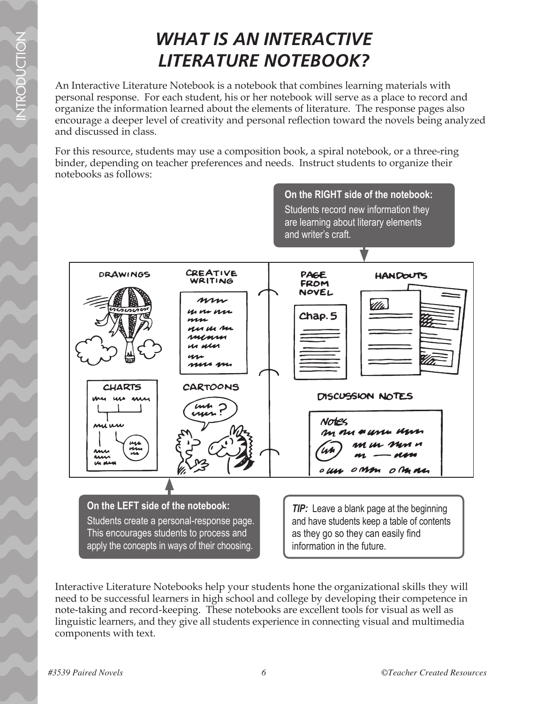# *WHAT IS AN INTERACTIVE LITERATURE NOTEBOOK?*

An Interactive Literature Notebook is a notebook that combines learning materials with personal response. For each student, his or her notebook will serve as a place to record and organize the information learned about the elements of literature. The response pages also encourage a deeper level of creativity and personal reflection toward the novels being analyzed and discussed in class.

For this resource, students may use a composition book, a spiral notebook, or a three-ring binder, depending on teacher preferences and needs. Instruct students to organize their notebooks as follows:



Interactive Literature Notebooks help your students hone the organizational skills they will need to be successful learners in high school and college by developing their competence in note-taking and record-keeping. These notebooks are excellent tools for visual as well as linguistic learners, and they give all students experience in connecting visual and multimedia components with text.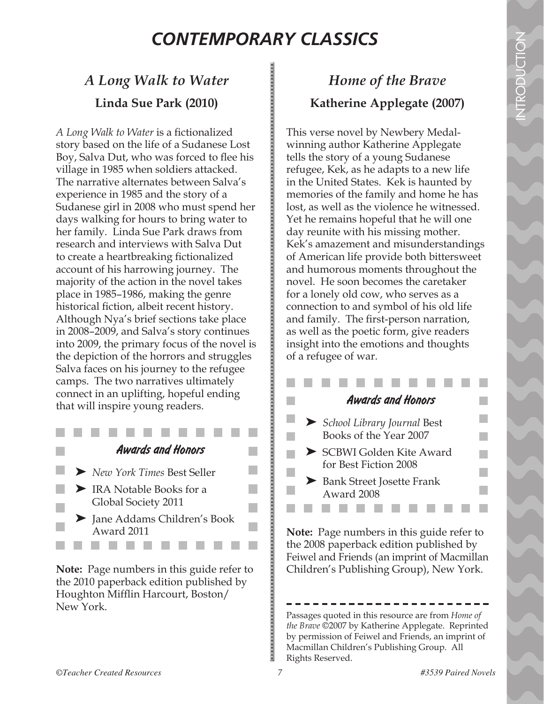### *CONTEMPORARY CLASSICS*

### *A Long Walk to Water* **Linda Sue Park (2010)**

*A Long Walk to Water* is a fictionalized story based on the life of a Sudanese Lost Boy, Salva Dut, who was forced to flee his village in 1985 when soldiers attacked. The narrative alternates between Salva's experience in 1985 and the story of a Sudanese girl in 2008 who must spend her days walking for hours to bring water to her family. Linda Sue Park draws from research and interviews with Salva Dut to create a heartbreaking fictionalized account of his harrowing journey. The majority of the action in the novel takes place in 1985–1986, making the genre historical fiction, albeit recent history. Although Nya's brief sections take place in 2008–2009, and Salva's story continues into 2009, the primary focus of the novel is the depiction of the horrors and struggles Salva faces on his journey to the refugee camps. The two narratives ultimately connect in an uplifting, hopeful ending that will inspire young readers.

*Awards and Honors* ➤ *New York Times* Best Seller ➤ IRA Notable Books for a Global Society 2011 ➤ Jane Addams Children's Book Award 2011

**Note:** Page numbers in this guide refer to the 2010 paperback edition published by Houghton Mifflin Harcourt, Boston/ New York.

### *Home of the Brave* **Katherine Applegate (2007)**

This verse novel by Newbery Medalwinning author Katherine Applegate tells the story of a young Sudanese refugee, Kek, as he adapts to a new life in the United States. Kek is haunted by memories of the family and home he has lost, as well as the violence he witnessed. Yet he remains hopeful that he will one day reunite with his missing mother. Kek's amazement and misunderstandings of American life provide both bittersweet and humorous moments throughout the novel. He soon becomes the caretaker for a lonely old cow, who serves as a connection to and symbol of his old life and family. The first-person narration, as well as the poetic form, give readers insight into the emotions and thoughts of a refugee of war.

#### *Awards and Honors*

- ➤ *School Library Journal* Best Books of the Year 2007
- ► SCBWI Golden Kite Award for Best Fiction 2008
- ➤ Bank Street Josette Frank Award 2008

**Note:** Page numbers in this guide refer to the 2008 paperback edition published by Feiwel and Friends (an imprint of Macmillan Children's Publishing Group), New York.

Passages quoted in this resource are from *Home of the Brave* ©2007 by Katherine Applegate. Reprinted by permission of Feiwel and Friends, an imprint of Macmillan Children's Publishing Group. All Rights Reserved.

 $\mathcal{L}_{\mathcal{A}}$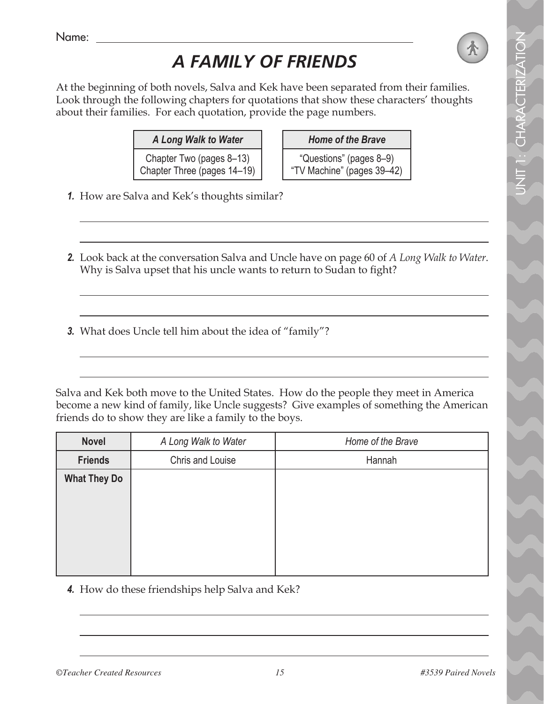Name:

# *A FAMILY OF FRIENDS*

At the beginning of both novels, Salva and Kek have been separated from their families. Look through the following chapters for quotations that show these characters' thoughts about their families. For each quotation, provide the page numbers.

| A Long Walk to Water        |  |
|-----------------------------|--|
| Chapter Two (pages 8-13)    |  |
| Chapter Three (pages 14-19) |  |

**Home of the Brave** "Questions" (pages 8–9) V Machine" (pages 39–42)

*1.* How are Salva and Kek's thoughts similar?

*2.* Look back at the conversation Salva and Uncle have on page 60 of *A Long Walk to Water*. Why is Salva upset that his uncle wants to return to Sudan to fight?

*3.* What does Uncle tell him about the idea of "family"?

Salva and Kek both move to the United States. How do the people they meet in America become a new kind of family, like Uncle suggests? Give examples of something the American friends do to show they are like a family to the boys.

| <b>Novel</b>        | A Long Walk to Water | Home of the Brave |
|---------------------|----------------------|-------------------|
| <b>Friends</b>      | Chris and Louise     | Hannah            |
| <b>What They Do</b> |                      |                   |
|                     |                      |                   |
|                     |                      |                   |
|                     |                      |                   |
|                     |                      |                   |
|                     |                      |                   |

*4.* How do these friendships help Salva and Kek?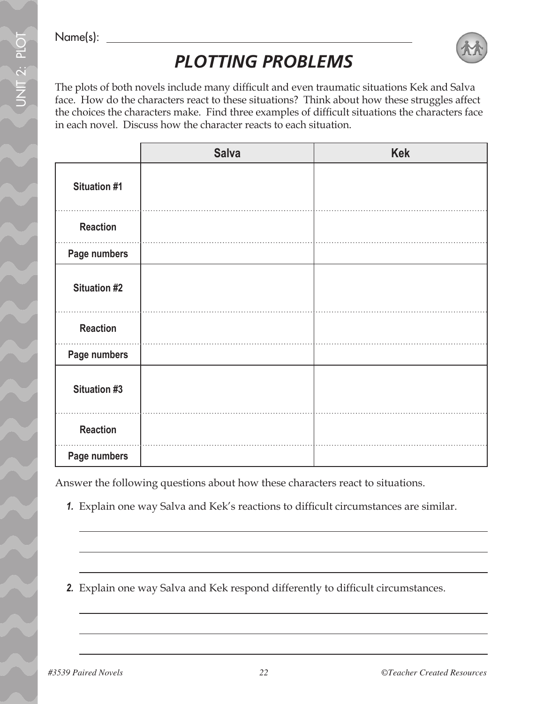Name(s):

 $\supset$ 

nit 2: Plo

t

# *PLOTTING PROBLEMS*



The plots of both novels include many difficult and even traumatic situations Kek and Salva face. How do the characters react to these situations? Think about how these struggles affect the choices the characters make. Find three examples of difficult situations the characters face in each novel. Discuss how the character reacts to each situation.

|                     | <b>Salva</b> | <b>Kek</b> |
|---------------------|--------------|------------|
| Situation #1        |              |            |
| <b>Reaction</b>     |              |            |
| Page numbers        |              |            |
| <b>Situation #2</b> |              |            |
| <b>Reaction</b>     |              |            |
| Page numbers        |              |            |
| <b>Situation #3</b> |              |            |
| <b>Reaction</b>     |              |            |
| Page numbers        |              |            |

Answer the following questions about how these characters react to situations.

- *1.* Explain one way Salva and Kek's reactions to difficult circumstances are similar.
- *2.* Explain one way Salva and Kek respond differently to difficult circumstances.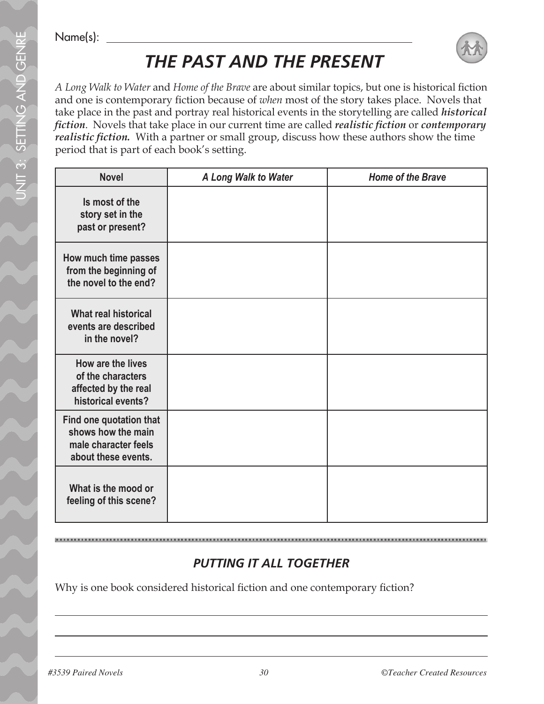Name(s):



*A Long Walk to Water* and *Home of the Brave* are about similar topics, but one is historical fiction and one is contemporary fiction because of *when* most of the story takes place. Novels that take place in the past and portray real historical events in the storytelling are called *historical fiction*. Novels that take place in our current time are called *realistic fiction* or *contemporary realistic fiction.* With a partner or small group, discuss how these authors show the time period that is part of each book's setting.

| <b>Novel</b>                                                                                 | A Long Walk to Water | <b>Home of the Brave</b> |
|----------------------------------------------------------------------------------------------|----------------------|--------------------------|
| Is most of the<br>story set in the<br>past or present?                                       |                      |                          |
| How much time passes<br>from the beginning of<br>the novel to the end?                       |                      |                          |
| <b>What real historical</b><br>events are described<br>in the novel?                         |                      |                          |
| How are the lives<br>of the characters<br>affected by the real<br>historical events?         |                      |                          |
| Find one quotation that<br>shows how the main<br>male character feels<br>about these events. |                      |                          |
| What is the mood or<br>feeling of this scene?                                                |                      |                          |

### *PUTTING IT ALL TOGETHER*

Why is one book considered historical fiction and one contemporary fiction?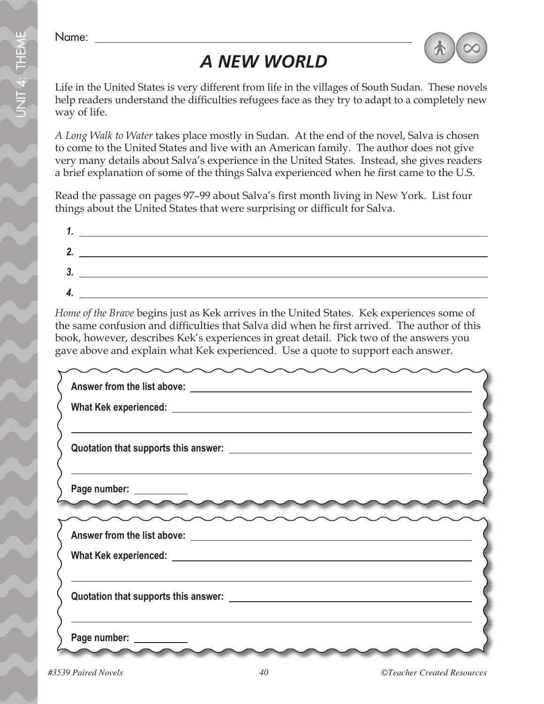Name:

# *A NEW WORLD*



Life in the United States is very different from life in the villages of South Sudan. These novels help readers understand the difficulties refugees face as they try to adapt to a completely new way of life.

*A Long Walk to Water* takes place mostly in Sudan. At the end of the novel, Salva is chosen to come to the United States and live with an American family. The author does not give very many details about Salva's experience in the United States. Instead, she gives readers a brief explanation of some of the things Salva experienced when he first came to the U.S.

Read the passage on pages 97–99 about Salva's first month living in New York. List four things about the United States that were surprising or difficult for Salva.

| 1.             |  |
|----------------|--|
| 2.             |  |
| 3 <sub>o</sub> |  |
| 4.             |  |

*Home of the Brave* begins just as Kek arrives in the United States. Kek experiences some of the same confusion and difficulties that Salva did when he first arrived. The author of this book, however, describes Kek's experiences in great detail. Pick two of the answers you gave above and explain what Kek experienced. Use a quote to support each answer.

| <u> 1989 - Johann Barbara, martxa alemaniar a</u> |  |
|---------------------------------------------------|--|
| Page number:                                      |  |
|                                                   |  |
|                                                   |  |
|                                                   |  |
|                                                   |  |
|                                                   |  |